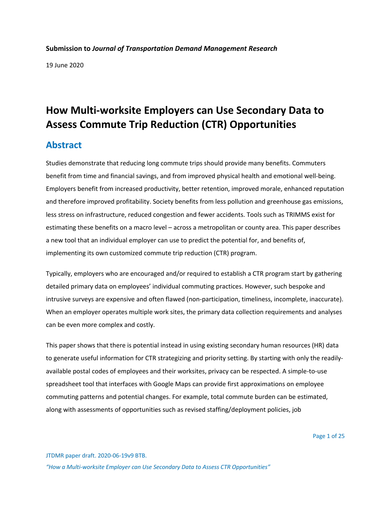#### **Submission to** *Journal of Transportation Demand Management Research*

19 June 2020

# **How Multi-worksite Employers can Use Secondary Data to Assess Commute Trip Reduction (CTR) Opportunities**

### **Abstract**

Studies demonstrate that reducing long commute trips should provide many benefits. Commuters benefit from time and financial savings, and from improved physical health and emotional well-being. Employers benefit from increased productivity, better retention, improved morale, enhanced reputation and therefore improved profitability. Society benefits from less pollution and greenhouse gas emissions, less stress on infrastructure, reduced congestion and fewer accidents. Tools such as TRIMMS exist for estimating these benefits on a macro level – across a metropolitan or county area. This paper describes a new tool that an individual employer can use to predict the potential for, and benefits of, implementing its own customized commute trip reduction (CTR) program.

Typically, employers who are encouraged and/or required to establish a CTR program start by gathering detailed primary data on employees' individual commuting practices. However, such bespoke and intrusive surveys are expensive and often flawed (non-participation, timeliness, incomplete, inaccurate). When an employer operates multiple work sites, the primary data collection requirements and analyses can be even more complex and costly.

This paper shows that there is potential instead in using existing secondary human resources (HR) data to generate useful information for CTR strategizing and priority setting. By starting with only the readilyavailable postal codes of employees and their worksites, privacy can be respected. A simple-to-use spreadsheet tool that interfaces with Google Maps can provide first approximations on employee commuting patterns and potential changes. For example, total commute burden can be estimated, along with assessments of opportunities such as revised staffing/deployment policies, job

Page 1 of 25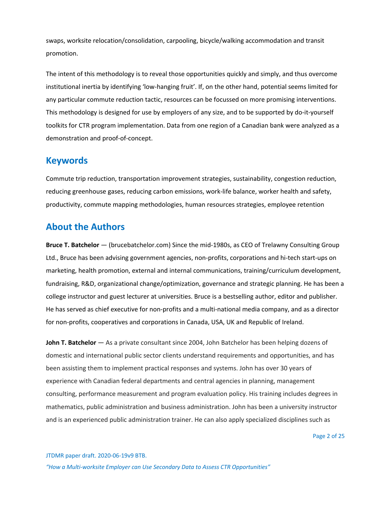swaps, worksite relocation/consolidation, carpooling, bicycle/walking accommodation and transit promotion.

The intent of this methodology is to reveal those opportunities quickly and simply, and thus overcome institutional inertia by identifying 'low-hanging fruit'. If, on the other hand, potential seems limited for any particular commute reduction tactic, resources can be focussed on more promising interventions. This methodology is designed for use by employers of any size, and to be supported by do-it-yourself toolkits for CTR program implementation. Data from one region of a Canadian bank were analyzed as a demonstration and proof-of-concept.

#### **Keywords**

Commute trip reduction, transportation improvement strategies, sustainability, congestion reduction, reducing greenhouse gases, reducing carbon emissions, work-life balance, worker health and safety, productivity, commute mapping methodologies, human resources strategies, employee retention

### **About the Authors**

**Bruce T. Batchelor** — (brucebatchelor.com) Since the mid-1980s, as CEO of Trelawny Consulting Group Ltd., Bruce has been advising government agencies, non-profits, corporations and hi-tech start-ups on marketing, health promotion, external and internal communications, training/curriculum development, fundraising, R&D, organizational change/optimization, governance and strategic planning. He has been a college instructor and guest lecturer at universities. Bruce is a bestselling author, editor and publisher. He has served as chief executive for non-profits and a multi-national media company, and as a director for non-profits, cooperatives and corporations in Canada, USA, UK and Republic of Ireland.

**John T. Batchelor** — As a private consultant since 2004, John Batchelor has been helping dozens of domestic and international public sector clients understand requirements and opportunities, and has been assisting them to implement practical responses and systems. John has over 30 years of experience with Canadian federal departments and central agencies in planning, management consulting, performance measurement and program evaluation policy. His training includes degrees in mathematics, public administration and business administration. John has been a university instructor and is an experienced public administration trainer. He can also apply specialized disciplines such as

Page 2 of 25

JTDMR paper draft. 2020-06-19v9 BTB. *"How a Multi-worksite Employer can Use Secondary Data to Assess CTR Opportunities"*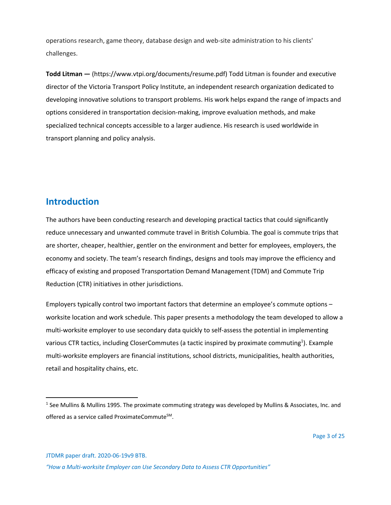operations research, game theory, database design and web-site administration to his clients' challenges.

**Todd Litman —** (https://www.vtpi.org/documents/resume.pdf) Todd Litman is founder and executive director of the Victoria Transport Policy Institute, an independent research organization dedicated to developing innovative solutions to transport problems. His work helps expand the range of impacts and options considered in transportation decision-making, improve evaluation methods, and make specialized technical concepts accessible to a larger audience. His research is used worldwide in transport planning and policy analysis.

### **Introduction**

The authors have been conducting research and developing practical tactics that could significantly reduce unnecessary and unwanted commute travel in British Columbia. The goal is commute trips that are shorter, cheaper, healthier, gentler on the environment and better for employees, employers, the economy and society. The team's research findings, designs and tools may improve the efficiency and efficacy of existing and proposed Transportation Demand Management (TDM) and Commute Trip Reduction (CTR) initiatives in other jurisdictions.

Employers typically control two important factors that determine an employee's commute options – worksite location and work schedule. This paper presents a methodology the team developed to allow a multi-worksite employer to use secondary data quickly to self-assess the potential in implementing various CTR tactics, including CloserCommutes (a tactic inspired by proximate commuting<sup>1</sup>). Example multi-worksite employers are financial institutions, school districts, municipalities, health authorities, retail and hospitality chains, etc.

JTDMR paper draft. 2020-06-19v9 BTB.

<sup>1</sup> See Mullins & Mullins 1995. The proximate commuting strategy was developed by Mullins & Associates, Inc. and offered as a service called ProximateCommute<sup>SM</sup>.

*<sup>&</sup>quot;How a Multi-worksite Employer can Use Secondary Data to Assess CTR Opportunities"*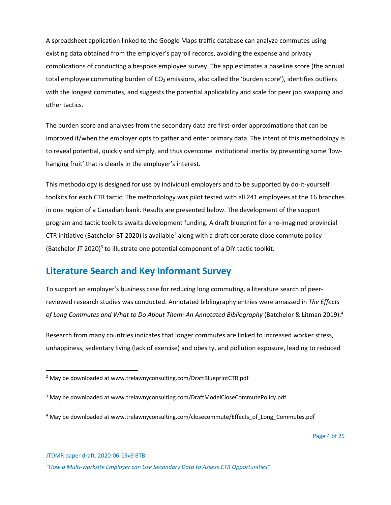A spreadsheet application linked to the Google Maps traffic database can analyze commutes using existing data obtained from the employer's payroll records, avoiding the expense and privacy complications of conducting a bespoke employee survey. The app estimates a baseline score (the annual total employee commuting burden of  $CO<sub>2</sub>$  emissions, also called the 'burden score'), identifies outliers with the longest commutes, and suggests the potential applicability and scale for peer job swapping and other tactics.

The burden score and analyses from the secondary data are first-order approximations that can be improved if/when the employer opts to gather and enter primary data. The intent of this methodology is to reveal potential, quickly and simply, and thus overcome institutional inertia by presenting some 'lowhanging fruit' that is clearly in the employer's interest.

This methodology is designed for use by individual employers and to be supported by do-it-yourself toolkits for each CTR tactic. The methodology was pilot tested with all 241 employees at the 16 branches in one region of a Canadian bank. Results are presented below. The development of the support program and tactic toolkits awaits development funding. A draft blueprint for a re-imagined provincial CTR initiative (Batchelor BT 2020) is available<sup>2</sup> along with a draft corporate close commute policy (Batchelor JT 2020) $3$  to illustrate one potential component of a DIY tactic toolkit.

## **Literature Search and Key Informant Survey**

To support an employer's business case for reducing long commuting, a literature search of peerreviewed research studies was conducted. Annotated bibliography entries were amassed in *The Effects of Long Commutes and What to Do About Them: An Annotated Bibliography* (Batchelor & Litman 2019).4

Research from many countries indicates that longer commutes are linked to increased worker stress, unhappiness, sedentary living (lack of exercise) and obesity, and pollution exposure, leading to reduced

Page 4 of 25

JTDMR paper draft. 2020-06-19v9 BTB.

<sup>&</sup>lt;sup>2</sup> May be downloaded at www.trelawnyconsulting.com/DraftBlueprintCTR.pdf

<sup>&</sup>lt;sup>3</sup> May be downloaded at www.trelawnyconsulting.com/DraftModelCloseCommutePolicy.pdf

<sup>&</sup>lt;sup>4</sup> May be downloaded at www.trelawnyconsulting.com/closecommute/Effects\_of\_Long\_Commutes.pdf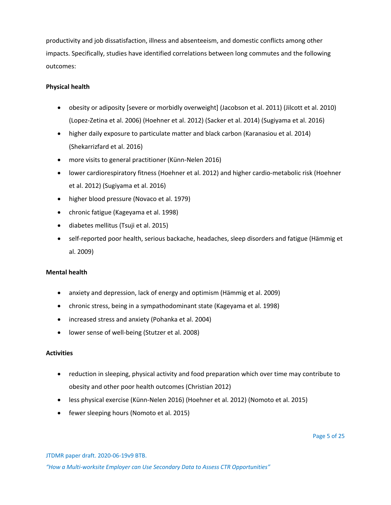productivity and job dissatisfaction, illness and absenteeism, and domestic conflicts among other impacts. Specifically, studies have identified correlations between long commutes and the following outcomes:

#### **Physical health**

- obesity or adiposity [severe or morbidly overweight] (Jacobson et al. 2011) (Jilcott et al. 2010) (Lopez-Zetina et al. 2006) (Hoehner et al. 2012) (Sacker et al. 2014) (Sugiyama et al. 2016)
- higher daily exposure to particulate matter and black carbon (Karanasiou et al. 2014) (Shekarrizfard et al. 2016)
- more visits to general practitioner (Künn-Nelen 2016)
- lower cardiorespiratory fitness (Hoehner et al. 2012) and higher cardio-metabolic risk (Hoehner et al. 2012) (Sugiyama et al. 2016)
- higher blood pressure (Novaco et al. 1979)
- chronic fatigue (Kageyama et al. 1998)
- diabetes mellitus (Tsuji et al. 2015)
- self-reported poor health, serious backache, headaches, sleep disorders and fatigue (Hämmig et al. 2009)

#### **Mental health**

- anxiety and depression, lack of energy and optimism (Hämmig et al. 2009)
- chronic stress, being in a sympathodominant state (Kageyama et al. 1998)
- increased stress and anxiety (Pohanka et al. 2004)
- lower sense of well-being (Stutzer et al. 2008)

#### **Activities**

- reduction in sleeping, physical activity and food preparation which over time may contribute to obesity and other poor health outcomes (Christian 2012)
- less physical exercise (Künn-Nelen 2016) (Hoehner et al. 2012) (Nomoto et al. 2015)
- fewer sleeping hours (Nomoto et al. 2015)

Page 5 of 25

JTDMR paper draft. 2020-06-19v9 BTB.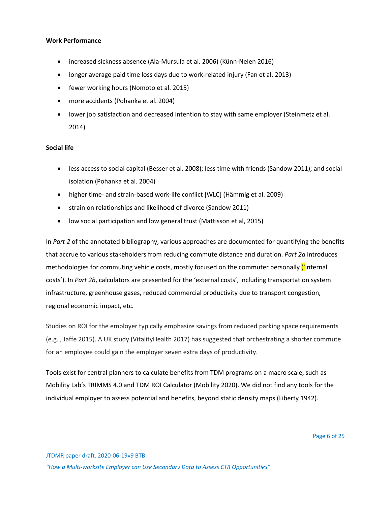#### **Work Performance**

- increased sickness absence (Ala-Mursula et al. 2006) (Künn-Nelen 2016)
- longer average paid time loss days due to work-related injury (Fan et al. 2013)
- fewer working hours (Nomoto et al. 2015)
- more accidents (Pohanka et al. 2004)
- lower job satisfaction and decreased intention to stay with same employer (Steinmetz et al. 2014)

#### **Social life**

- less access to social capital (Besser et al. 2008); less time with friends (Sandow 2011); and social isolation (Pohanka et al. 2004)
- higher time- and strain-based work-life conflict [WLC] (Hämmig et al. 2009)
- strain on relationships and likelihood of divorce (Sandow 2011)
- low social participation and low general trust (Mattisson et al, 2015)

In *Part 2* of the annotated bibliography, various approaches are documented for quantifying the benefits that accrue to various stakeholders from reducing commute distance and duration. *Part 2a* introduces methodologies for commuting vehicle costs, mostly focused on the commuter personally "internal" costs'). In *Part 2b*, calculators are presented for the 'external costs', including transportation system infrastructure, greenhouse gases, reduced commercial productivity due to transport congestion, regional economic impact, etc.

Studies on ROI for the employer typically emphasize savings from reduced parking space requirements (e.g. , Jaffe 2015). A UK study (VitalityHealth 2017) has suggested that orchestrating a shorter commute for an employee could gain the employer seven extra days of productivity.

Tools exist for central planners to calculate benefits from TDM programs on a macro scale, such as Mobility Lab's TRIMMS 4.0 and TDM ROI Calculator (Mobility 2020). We did not find any tools for the individual employer to assess potential and benefits, beyond static density maps (Liberty 1942).

JTDMR paper draft. 2020-06-19v9 BTB.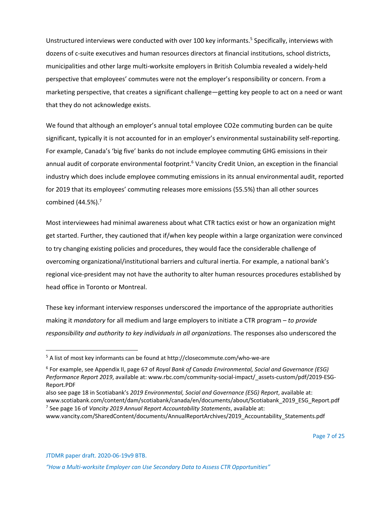Unstructured interviews were conducted with over 100 key informants.<sup>5</sup> Specifically, interviews with dozens of c-suite executives and human resources directors at financial institutions, school districts, municipalities and other large multi-worksite employers in British Columbia revealed a widely-held perspective that employees' commutes were not the employer's responsibility or concern. From a marketing perspective, that creates a significant challenge—getting key people to act on a need or want that they do not acknowledge exists.

We found that although an employer's annual total employee CO2e commuting burden can be quite significant, typically it is not accounted for in an employer's environmental sustainability self-reporting. For example, Canada's 'big five' banks do not include employee commuting GHG emissions in their annual audit of corporate environmental footprint.<sup>6</sup> Vancity Credit Union, an exception in the financial industry which does include employee commuting emissions in its annual environmental audit, reported for 2019 that its employees' commuting releases more emissions (55.5%) than all other sources combined  $(44.5\%)$ .<sup>7</sup>

Most interviewees had minimal awareness about what CTR tactics exist or how an organization might get started. Further, they cautioned that if/when key people within a large organization were convinced to try changing existing policies and procedures, they would face the considerable challenge of overcoming organizational/institutional barriers and cultural inertia. For example, a national bank's regional vice-president may not have the authority to alter human resources procedures established by head office in Toronto or Montreal.

These key informant interview responses underscored the importance of the appropriate authorities making it *mandatory* for all medium and large employers to initiate a CTR program – *to provide responsibility and authority to key individuals in all organizations*. The responses also underscored the

JTDMR paper draft. 2020-06-19v9 BTB.

<sup>5</sup> A list of most key informants can be found at http://closecommute.com/who-we-are

<sup>6</sup> For example, see Appendix II, page 67 of *Royal Bank of Canada Environmental, Social and Governance (ESG) Performance Report 2019*, available at: www.rbc.com/community-social-impact/\_assets-custom/pdf/2019-ESG-Report.PDF

also see page 18 in Scotiabank's *2019 Environmental, Social and Governance (ESG) Report*, available at: www.scotiabank.com/content/dam/scotiabank/canada/en/documents/about/Scotiabank\_2019\_ESG\_Report.pdf <sup>7</sup> See page 16 of *Vancity 2019 Annual Report Accountability Statements*, available at:

www.vancity.com/SharedContent/documents/AnnualReportArchives/2019\_Accountability\_Statements.pdf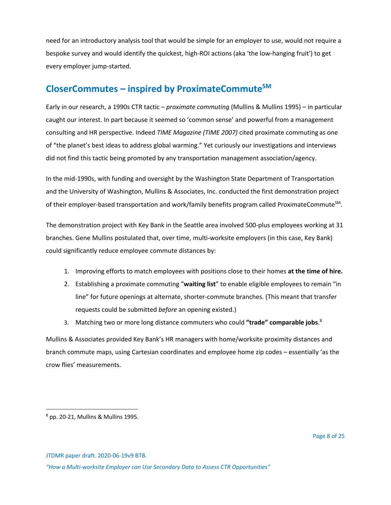need for an introductory analysis tool that would be simple for an employer to use, would not require a bespoke survey and would identify the quickest, high-ROI actions (aka 'the low-hanging fruit') to get every employer jump-started.

# **CloserCommutes – inspired by ProximateCommuteSM**

Early in our research, a 1990s CTR tactic – *proximate commuting* (Mullins & Mullins 1995) – in particular caught our interest. In part because it seemed so 'common sense' and powerful from a management consulting and HR perspective. Indeed *TIME Magazine (TIME 2007)* cited proximate commuting as one of "the planet's best ideas to address global warming." Yet curiously our investigations and interviews did not find this tactic being promoted by any transportation management association/agency.

In the mid-1990s, with funding and oversight by the Washington State Department of Transportation and the University of Washington, Mullins & Associates, Inc. conducted the first demonstration project of their employer-based transportation and work/family benefits program called ProximateCommute<sup>SM</sup>.

The demonstration project with Key Bank in the Seattle area involved 500-plus employees working at 31 branches. Gene Mullins postulated that, over time, multi-worksite employers (in this case, Key Bank) could significantly reduce employee commute distances by:

- 1. Improving efforts to match employees with positions close to their homes **at the time of hire.**
- 2. Establishing a proximate commuting "**waiting list**" to enable eligible employees to remain "in line" for future openings at alternate, shorter-commute branches. (This meant that transfer requests could be submitted *before* an opening existed.)
- 3. Matching two or more long distance commuters who could **"trade" comparable jobs**. 8

Mullins & Associates provided Key Bank's HR managers with home/worksite proximity distances and branch commute maps, using Cartesian coordinates and employee home zip codes – essentially 'as the crow flies' measurements.

JTDMR paper draft. 2020-06-19v9 BTB.

 $8$  pp. 20-21, Mullins & Mullins 1995.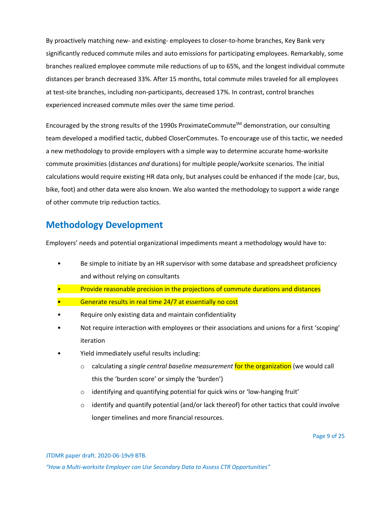By proactively matching new- and existing- employees to closer-to-home branches, Key Bank very significantly reduced commute miles and auto emissions for participating employees. Remarkably, some branches realized employee commute mile reductions of up to 65%, and the longest individual commute distances per branch decreased 33%. After 15 months, total commute miles traveled for all employees at test-site branches, including non-participants, decreased 17%. In contrast, control branches experienced increased commute miles over the same time period.

Encouraged by the strong results of the 1990s ProximateCommute<sup>SM</sup> demonstration, our consulting team developed a modified tactic, dubbed CloserCommutes. To encourage use of this tactic, we needed a new methodology to provide employers with a simple way to determine accurate home-worksite commute proximities (distances *and* durations) for multiple people/worksite scenarios. The initial calculations would require existing HR data only, but analyses could be enhanced if the mode (car, bus, bike, foot) and other data were also known. We also wanted the methodology to support a wide range of other commute trip reduction tactics.

# **Methodology Development**

Employers' needs and potential organizational impediments meant a methodology would have to:

- Be simple to initiate by an HR supervisor with some database and spreadsheet proficiency and without relying on consultants
- Provide reasonable precision in the projections of commute durations and distances
- Generate results in real time 24/7 at essentially no cost
- Require only existing data and maintain confidentiality
- Not require interaction with employees or their associations and unions for a first 'scoping' iteration
- Yield immediately useful results including:
	- o calculating a *single central baseline measurement* for the organization (we would call this the 'burden score' or simply the 'burden')
	- o identifying and quantifying potential for quick wins or 'low-hanging fruit'
	- $\circ$  identify and quantify potential (and/or lack thereof) for other tactics that could involve longer timelines and more financial resources.

JTDMR paper draft. 2020-06-19v9 BTB.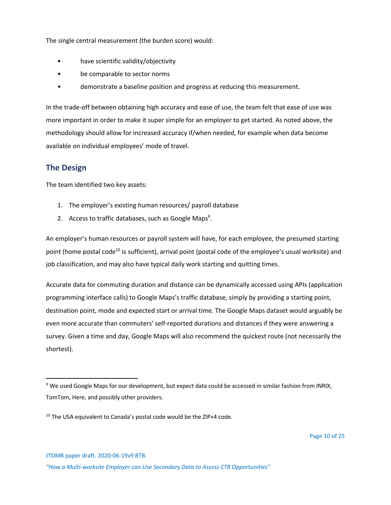The single central measurement (the burden score) would:

- have scientific validity/objectivity
- be comparable to sector norms
- demonstrate a baseline position and progress at reducing this measurement.

In the trade-off between obtaining high accuracy and ease of use, the team felt that ease of use was more important in order to make it super simple for an employer to get started. As noted above, the methodology should allow for increased accuracy if/when needed, for example when data become available on individual employees' mode of travel.

#### **The Design**

The team identified two key assets:

- 1. The employer's existing human resources/ payroll database
- 2. Access to traffic databases, such as Google Maps<sup>9</sup>.

An employer's human resources or payroll system will have, for each employee, the presumed starting point (home postal code<sup>10</sup> is sufficient), arrival point (postal code of the employee's usual worksite) and job classification, and may also have typical daily work starting and quitting times.

Accurate data for commuting duration and distance can be dynamically accessed using APIs (application programming interface calls) to Google Maps's traffic database, simply by providing a starting point, destination point, mode and expected start or arrival time. The Google Maps dataset would arguably be even more accurate than commuters' self-reported durations and distances if they were answering a survey. Given a time and day, Google Maps will also recommend the quickest route (not necessarily the shortest).

<sup>&</sup>lt;sup>9</sup> We used Google Maps for our development, but expect data could be accessed in similar fashion from INRIX, TomTom, Here, and possibly other providers.

<sup>&</sup>lt;sup>10</sup> The USA equivalent to Canada's postal code would be the ZIP+4 code.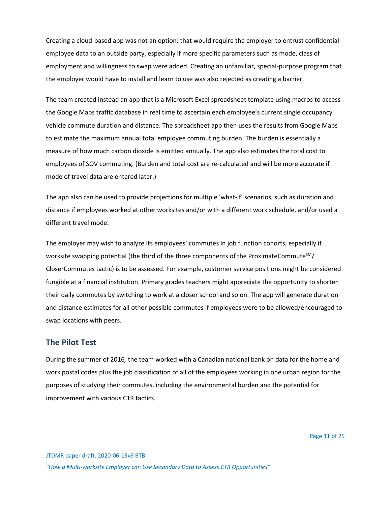Creating a cloud-based app was not an option: that would require the employer to entrust confidential employee data to an outside party, especially if more specific parameters such as mode, class of employment and willingness to swap were added. Creating an unfamiliar, special-purpose program that the employer would have to install and learn to use was also rejected as creating a barrier.

The team created instead an app that is a Microsoft Excel spreadsheet template using macros to access the Google Maps traffic database in real time to ascertain each employee's current single occupancy vehicle commute duration and distance. The spreadsheet app then uses the results from Google Maps to estimate the maximum annual total employee commuting burden. The burden is essentially a measure of how much carbon dioxide is emitted annually. The app also estimates the total cost to employees of SOV commuting. (Burden and total cost are re-calculated and will be more accurate if mode of travel data are entered later.)

The app also can be used to provide projections for multiple 'what-if' scenarios, such as duration and distance if employees worked at other worksites and/or with a different work schedule, and/or used a different travel mode.

The employer may wish to analyze its employees' commutes in job function cohorts, especially if worksite swapping potential (the third of the three components of the ProximateCommute<sup>SM</sup>/ CloserCommutes tactic) is to be assessed. For example, customer service positions might be considered fungible at a financial institution. Primary grades teachers might appreciate the opportunity to shorten their daily commutes by switching to work at a closer school and so on. The app will generate duration and distance estimates for all other possible commutes if employees were to be allowed/encouraged to swap locations with peers.

#### **The Pilot Test**

During the summer of 2016*,* the team worked with a Canadian national bank on data for the home and work postal codes plus the job classification of all of the employees working in one urban region for the purposes of studying their commutes, including the environmental burden and the potential for improvement with various CTR tactics.

JTDMR paper draft. 2020-06-19v9 BTB.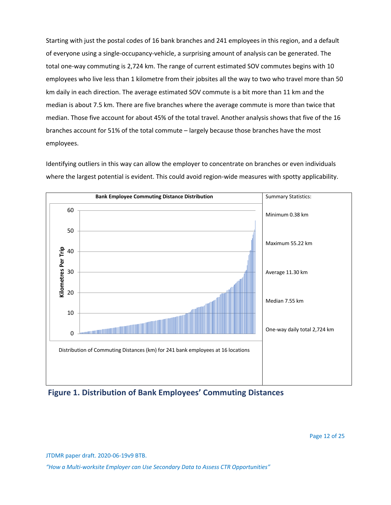Starting with just the postal codes of 16 bank branches and 241 employees in this region, and a default of everyone using a single-occupancy-vehicle, a surprising amount of analysis can be generated. The total one-way commuting is 2,724 km. The range of current estimated SOV commutes begins with 10 employees who live less than 1 kilometre from their jobsites all the way to two who travel more than 50 km daily in each direction. The average estimated SOV commute is a bit more than 11 km and the median is about 7.5 km. There are five branches where the average commute is more than twice that median. Those five account for about 45% of the total travel. Another analysis shows that five of the 16 branches account for 51% of the total commute – largely because those branches have the most employees.

Identifying outliers in this way can allow the employer to concentrate on branches or even individuals where the largest potential is evident. This could avoid region-wide measures with spotty applicability.



**Figure 1. Distribution of Bank Employees' Commuting Distances**

JTDMR paper draft. 2020-06-19v9 BTB.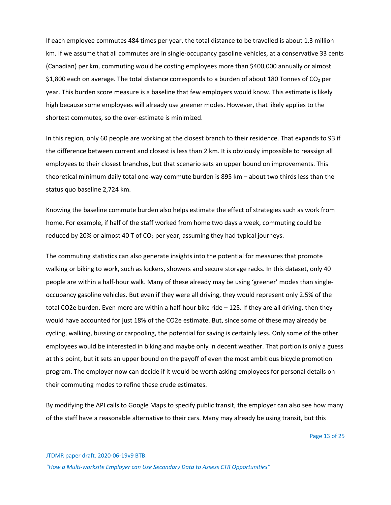If each employee commutes 484 times per year, the total distance to be travelled is about 1.3 million km. If we assume that all commutes are in single-occupancy gasoline vehicles, at a conservative 33 cents (Canadian) per km, commuting would be costing employees more than \$400,000 annually or almost \$1,800 each on average. The total distance corresponds to a burden of about 180 Tonnes of  $CO<sub>2</sub>$  per year. This burden score measure is a baseline that few employers would know. This estimate is likely high because some employees will already use greener modes. However, that likely applies to the shortest commutes, so the over-estimate is minimized.

In this region, only 60 people are working at the closest branch to their residence. That expands to 93 if the difference between current and closest is less than 2 km. It is obviously impossible to reassign all employees to their closest branches, but that scenario sets an upper bound on improvements. This theoretical minimum daily total one-way commute burden is 895 km – about two thirds less than the status quo baseline 2,724 km.

Knowing the baseline commute burden also helps estimate the effect of strategies such as work from home. For example, if half of the staff worked from home two days a week, commuting could be reduced by 20% or almost 40 T of  $CO<sub>2</sub>$  per year, assuming they had typical journeys.

The commuting statistics can also generate insights into the potential for measures that promote walking or biking to work, such as lockers, showers and secure storage racks. In this dataset, only 40 people are within a half-hour walk. Many of these already may be using 'greener' modes than singleoccupancy gasoline vehicles. But even if they were all driving, they would represent only 2.5% of the total CO2e burden. Even more are within a half-hour bike ride – 125. If they are all driving, then they would have accounted for just 18% of the CO2e estimate. But, since some of these may already be cycling, walking, bussing or carpooling, the potential for saving is certainly less. Only some of the other employees would be interested in biking and maybe only in decent weather. That portion is only a guess at this point, but it sets an upper bound on the payoff of even the most ambitious bicycle promotion program. The employer now can decide if it would be worth asking employees for personal details on their commuting modes to refine these crude estimates.

By modifying the API calls to Google Maps to specify public transit, the employer can also see how many of the staff have a reasonable alternative to their cars. Many may already be using transit, but this

Page 13 of 25

JTDMR paper draft. 2020-06-19v9 BTB.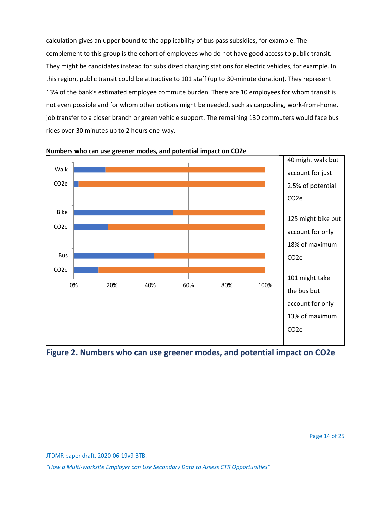calculation gives an upper bound to the applicability of bus pass subsidies, for example. The complement to this group is the cohort of employees who do not have good access to public transit. They might be candidates instead for subsidized charging stations for electric vehicles, for example. In this region, public transit could be attractive to 101 staff (up to 30-minute duration). They represent 13% of the bank's estimated employee commute burden. There are 10 employees for whom transit is not even possible and for whom other options might be needed, such as carpooling, work-from-home, job transfer to a closer branch or green vehicle support. The remaining 130 commuters would face bus rides over 30 minutes up to 2 hours one-way.



**Numbers who can use greener modes, and potential impact on CO2e**

**Figure 2. Numbers who can use greener modes, and potential impact on CO2e**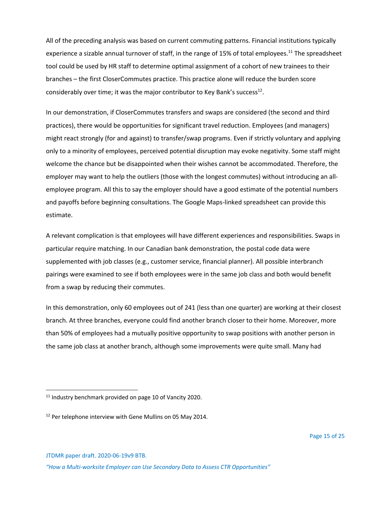All of the preceding analysis was based on current commuting patterns. Financial institutions typically experience a sizable annual turnover of staff, in the range of 15% of total employees.<sup>11</sup> The spreadsheet tool could be used by HR staff to determine optimal assignment of a cohort of new trainees to their branches – the first CloserCommutes practice. This practice alone will reduce the burden score considerably over time; it was the major contributor to Key Bank's success<sup>12</sup>.

In our demonstration, if CloserCommutes transfers and swaps are considered (the second and third practices), there would be opportunities for significant travel reduction. Employees (and managers) might react strongly (for and against) to transfer/swap programs. Even if strictly voluntary and applying only to a minority of employees, perceived potential disruption may evoke negativity. Some staff might welcome the chance but be disappointed when their wishes cannot be accommodated. Therefore, the employer may want to help the outliers (those with the longest commutes) without introducing an allemployee program. All this to say the employer should have a good estimate of the potential numbers and payoffs before beginning consultations. The Google Maps-linked spreadsheet can provide this estimate.

A relevant complication is that employees will have different experiences and responsibilities. Swaps in particular require matching. In our Canadian bank demonstration, the postal code data were supplemented with job classes (e.g., customer service, financial planner). All possible interbranch pairings were examined to see if both employees were in the same job class and both would benefit from a swap by reducing their commutes.

In this demonstration, only 60 employees out of 241 (less than one quarter) are working at their closest branch. At three branches, everyone could find another branch closer to their home. Moreover, more than 50% of employees had a mutually positive opportunity to swap positions with another person in the same job class at another branch, although some improvements were quite small. Many had

JTDMR paper draft. 2020-06-19v9 BTB.

<sup>&</sup>lt;sup>11</sup> Industry benchmark provided on page 10 of Vancity 2020.

<sup>&</sup>lt;sup>12</sup> Per telephone interview with Gene Mullins on 05 May 2014.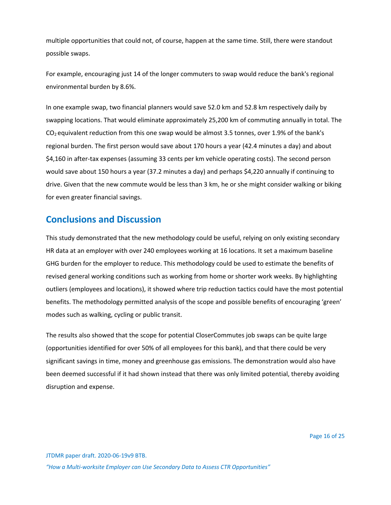multiple opportunities that could not, of course, happen at the same time. Still, there were standout possible swaps.

For example, encouraging just 14 of the longer commuters to swap would reduce the bank's regional environmental burden by 8.6%.

In one example swap, two financial planners would save 52.0 km and 52.8 km respectively daily by swapping locations. That would eliminate approximately 25,200 km of commuting annually in total. The  $CO<sub>2</sub>$  equivalent reduction from this one swap would be almost 3.5 tonnes, over 1.9% of the bank's regional burden. The first person would save about 170 hours a year (42.4 minutes a day) and about \$4,160 in after-tax expenses (assuming 33 cents per km vehicle operating costs). The second person would save about 150 hours a year (37.2 minutes a day) and perhaps \$4,220 annually if continuing to drive. Given that the new commute would be less than 3 km, he or she might consider walking or biking for even greater financial savings.

### **Conclusions and Discussion**

This study demonstrated that the new methodology could be useful, relying on only existing secondary HR data at an employer with over 240 employees working at 16 locations. It set a maximum baseline GHG burden for the employer to reduce. This methodology could be used to estimate the benefits of revised general working conditions such as working from home or shorter work weeks. By highlighting outliers (employees and locations), it showed where trip reduction tactics could have the most potential benefits. The methodology permitted analysis of the scope and possible benefits of encouraging 'green' modes such as walking, cycling or public transit.

The results also showed that the scope for potential CloserCommutes job swaps can be quite large (opportunities identified for over 50% of all employees for this bank), and that there could be very significant savings in time, money and greenhouse gas emissions. The demonstration would also have been deemed successful if it had shown instead that there was only limited potential, thereby avoiding disruption and expense.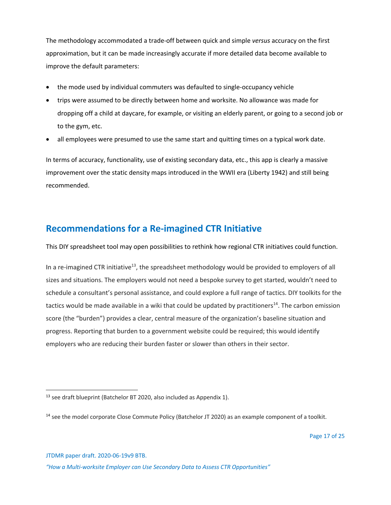The methodology accommodated a trade-off between quick and simple *versus* accuracy on the first approximation, but it can be made increasingly accurate if more detailed data become available to improve the default parameters:

- the mode used by individual commuters was defaulted to single-occupancy vehicle
- trips were assumed to be directly between home and worksite. No allowance was made for dropping off a child at daycare, for example, or visiting an elderly parent, or going to a second job or to the gym, etc.
- all employees were presumed to use the same start and quitting times on a typical work date.

In terms of accuracy, functionality, use of existing secondary data, etc., this app is clearly a massive improvement over the static density maps introduced in the WWII era (Liberty 1942) and still being recommended.

## **Recommendations for a Re-imagined CTR Initiative**

This DIY spreadsheet tool may open possibilities to rethink how regional CTR initiatives could function.

In a re-imagined CTR initiative<sup>13</sup>, the spreadsheet methodology would be provided to employers of all sizes and situations. The employers would not need a bespoke survey to get started, wouldn't need to schedule a consultant's personal assistance, and could explore a full range of tactics. DIY toolkits for the tactics would be made available in a wiki that could be updated by practitioners<sup>14</sup>. The carbon emission score (the "burden") provides a clear, central measure of the organization's baseline situation and progress. Reporting that burden to a government website could be required; this would identify employers who are reducing their burden faster or slower than others in their sector.

<sup>&</sup>lt;sup>13</sup> see draft blueprint (Batchelor BT 2020, also included as Appendix 1).

<sup>&</sup>lt;sup>14</sup> see the model corporate Close Commute Policy (Batchelor JT 2020) as an example component of a toolkit.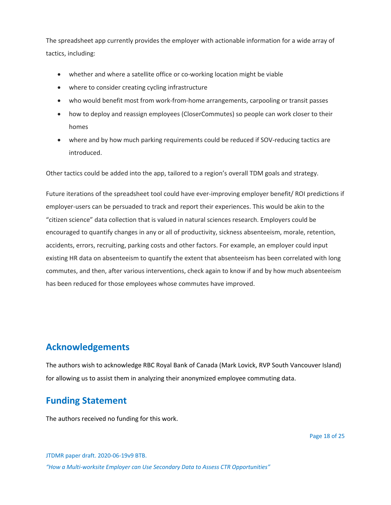The spreadsheet app currently provides the employer with actionable information for a wide array of tactics, including:

- whether and where a satellite office or co-working location might be viable
- where to consider creating cycling infrastructure
- who would benefit most from work-from-home arrangements, carpooling or transit passes
- how to deploy and reassign employees (CloserCommutes) so people can work closer to their homes
- where and by how much parking requirements could be reduced if SOV-reducing tactics are introduced.

Other tactics could be added into the app, tailored to a region's overall TDM goals and strategy.

Future iterations of the spreadsheet tool could have ever-improving employer benefit/ ROI predictions if employer-users can be persuaded to track and report their experiences. This would be akin to the "citizen science" data collection that is valued in natural sciences research. Employers could be encouraged to quantify changes in any or all of productivity, sickness absenteeism, morale, retention, accidents, errors, recruiting, parking costs and other factors. For example, an employer could input existing HR data on absenteeism to quantify the extent that absenteeism has been correlated with long commutes, and then, after various interventions, check again to know if and by how much absenteeism has been reduced for those employees whose commutes have improved.

### **Acknowledgements**

The authors wish to acknowledge RBC Royal Bank of Canada (Mark Lovick, RVP South Vancouver Island) for allowing us to assist them in analyzing their anonymized employee commuting data.

# **Funding Statement**

The authors received no funding for this work.

JTDMR paper draft. 2020-06-19v9 BTB. *"How a Multi-worksite Employer can Use Secondary Data to Assess CTR Opportunities"*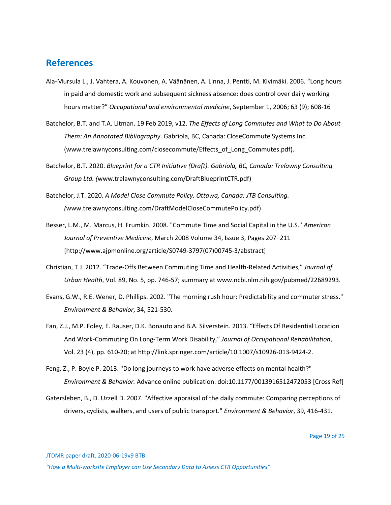#### **References**

- Ala-Mursula L., J. Vahtera, A. Kouvonen, A. Väänänen, A. Linna, J. Pentti, M. Kivimäki. 2006. "Long hours in paid and domestic work and subsequent sickness absence: does control over daily working hours matter?" *Occupational and environmental medicine*, September 1, 2006; 63 (9); 608-16
- Batchelor, B.T. and T.A. Litman. 19 Feb 2019, v12. *The Effects of Long Commutes and What to Do About Them: An Annotated Bibliography*. Gabriola, BC, Canada: CloseCommute Systems Inc. (www.trelawnyconsulting.com/closecommute/Effects\_of\_Long\_Commutes.pdf).
- Batchelor, B.T. 2020. *Blueprint for a CTR Initiative (Draft). Gabriola, BC, Canada: Trelawny Consulting Group Ltd. (*www.trelawnyconsulting.com/DraftBlueprintCTR.pdf)
- Batchelor, J.T. 2020. *A Model Close Commute Policy. Ottawa, Canada: JTB Consulting. (*www.trelawnyconsulting.com/DraftModelCloseCommutePolicy.pdf)
- Besser, L.M., M. Marcus, H. Frumkin. 2008. "Commute Time and Social Capital in the U.S." *American Journal of Preventive Medicine*, March 2008 Volume 34, Issue 3, Pages 207–211 [http://www.ajpmonline.org/article/S0749-3797(07)00745-3/abstract]
- Christian, T.J. 2012. "Trade-Offs Between Commuting Time and Health-Related Activities," *Journal of Urban Health*, Vol. 89, No. 5, pp. 746-57; summary at www.ncbi.nlm.nih.gov/pubmed/22689293.
- Evans, G.W., R.E. Wener, D. Phillips. 2002. "The morning rush hour: Predictability and commuter stress." *Environment & Behavior*, 34, 521-530.
- Fan, Z.J., M.P. Foley, E. Rauser, D.K. Bonauto and B.A. Silverstein. 2013. "Effects Of Residential Location And Work-Commuting On Long-Term Work Disability," *Journal of Occupational Rehabilitation*, Vol. 23 (4), pp. 610-20; at http://link.springer.com/article/10.1007/s10926-013-9424-2.
- Feng, Z., P. Boyle P. 2013. "Do long journeys to work have adverse effects on mental health?" *Environment & Behavior.* Advance online publication. doi:10.1177/0013916512472053 [Cross Ref]
- Gatersleben, B., D. Uzzell D. 2007. "Affective appraisal of the daily commute: Comparing perceptions of drivers, cyclists, walkers, and users of public transport." *Environment & Behavior*, 39, 416-431.

JTDMR paper draft. 2020-06-19v9 BTB.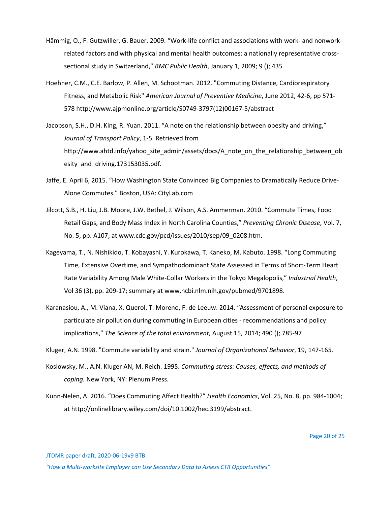- Hämmig, O., F. Gutzwiller, G. Bauer. 2009. "Work-life conflict and associations with work- and nonworkrelated factors and with physical and mental health outcomes: a nationally representative crosssectional study in Switzerland," *BMC Public Health*, January 1, 2009; 9 (); 435
- Hoehner, C.M., C.E. Barlow, P. Allen, M. Schootman. 2012. "Commuting Distance, Cardiorespiratory Fitness, and Metabolic Risk" *American Journal of Preventive Medicine*, June 2012, 42-6, pp 571- 578 http://www.ajpmonline.org/article/S0749-3797(12)00167-5/abstract
- Jacobson, S.H., D.H. King, R. Yuan. 2011. "A note on the relationship between obesity and driving," *Journal of Transport Policy*, 1-5. Retrieved from http://www.ahtd.info/yahoo\_site\_admin/assets/docs/A\_note\_on\_the\_relationship\_between\_ob esity\_and\_driving.173153035.pdf.
- Jaffe, E. April 6, 2015. "How Washington State Convinced Big Companies to Dramatically Reduce Drive-Alone Commutes." Boston, USA: CityLab.com
- Jilcott, S.B., H. Liu, J.B. Moore, J.W. Bethel, J. Wilson, A.S. Ammerman. 2010. "Commute Times, Food Retail Gaps, and Body Mass Index in North Carolina Counties," *Preventing Chronic Disease*, Vol. 7, No. 5, pp. A107; at www.cdc.gov/pcd/issues/2010/sep/09\_0208.htm.
- Kageyama, T., N. Nishikido, T. Kobayashi, Y. Kurokawa, T. Kaneko, M. Kabuto. 1998. "Long Commuting Time, Extensive Overtime, and Sympathodominant State Assessed in Terms of Short-Term Heart Rate Variability Among Male White-Collar Workers in the Tokyo Megalopolis," *Industrial Health*, Vol 36 (3), pp. 209-17; summary at www.ncbi.nlm.nih.gov/pubmed/9701898.
- Karanasiou, A., M. Viana, X. Querol, T. Moreno, F. de Leeuw. 2014. "Assessment of personal exposure to particulate air pollution during commuting in European cities - recommendations and policy implications," *The Science of the total environment,* August 15, 2014; 490 (); 785-97

Kluger, A.N. 1998. "Commute variability and strain." *Journal of Organizational Behavior*, 19, 147-165.

- Koslowsky, M., A.N. Kluger AN, M. Reich. 1995. *Commuting stress: Causes, effects, and methods of coping.* New York, NY: Plenum Press.
- Künn-Nelen, A. 2016. "Does Commuting Affect Health?" *Health Economics*, Vol. 25, No. 8, pp. 984-1004; at http://onlinelibrary.wiley.com/doi/10.1002/hec.3199/abstract.

JTDMR paper draft. 2020-06-19v9 BTB.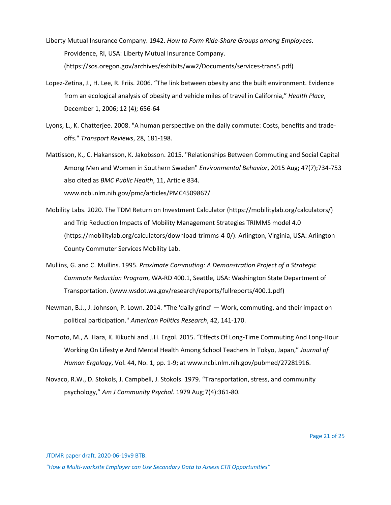- Liberty Mutual Insurance Company. 1942. *How to Form Ride-Share Groups among Employees*. Providence, RI, USA: Liberty Mutual Insurance Company. (https://sos.oregon.gov/archives/exhibits/ww2/Documents/services-trans5.pdf)
- Lopez-Zetina, J., H. Lee, R. Friis. 2006. "The link between obesity and the built environment. Evidence from an ecological analysis of obesity and vehicle miles of travel in California," *Health Place*, December 1, 2006; 12 (4); 656-64
- Lyons, L., K. Chatterjee. 2008. "A human perspective on the daily commute: Costs, benefits and tradeoffs." *Transport Reviews*, 28, 181-198.
- Mattisson, K., C. Hakansson, K. Jakobsson. 2015. "Relationships Between Commuting and Social Capital Among Men and Women in Southern Sweden" *Environmental Behavior*, 2015 Aug; 47(7);734-753 also cited as *BMC Public Health*, 11, Article 834. www.ncbi.nlm.nih.gov/pmc/articles/PMC4509867/
- Mobility Labs. 2020. The TDM Return on Investment Calculator (https://mobilitylab.org/calculators/) and Trip Reduction Impacts of Mobility Management Strategies TRIMMS model 4.0 (https://mobilitylab.org/calculators/download-trimms-4-0/). Arlington, Virginia, USA: Arlington County Commuter Services Mobility Lab.
- Mullins, G. and C. Mullins. 1995. *Proximate Commuting: A Demonstration Project of a Strategic Commute Reduction Program*, WA-RD 400.1, Seattle, USA: Washington State Department of Transportation. (www.wsdot.wa.gov/research/reports/fullreports/400.1.pdf)
- Newman, B.J., J. Johnson, P. Lown. 2014. "The 'daily grind' Work, commuting, and their impact on political participation." *American Politics Research*, 42, 141-170.
- Nomoto, M., A. Hara, K. Kikuchi and J.H. Ergol. 2015. "Effects Of Long-Time Commuting And Long-Hour Working On Lifestyle And Mental Health Among School Teachers In Tokyo, Japan," *Journal of Human Ergology*, Vol. 44, No. 1, pp. 1-9; at www.ncbi.nlm.nih.gov/pubmed/27281916.
- Novaco, R.W., D. Stokols, J. Campbell, J. Stokols. 1979. "Transportation, stress, and community psychology," *Am J Community Psychol.* 1979 Aug;7(4):361-80.

JTDMR paper draft. 2020-06-19v9 BTB.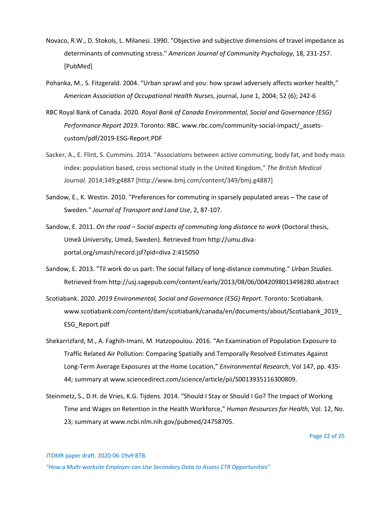- Novaco, R.W., D. Stokols, L. Milanesi. 1990. "Objective and subjective dimensions of travel impedance as determinants of commuting stress." *American Journal of Community Psychology*, 18, 231-257. [PubMed]
- Pohanka, M., S. Fitzgerald. 2004. "Urban sprawl and you: how sprawl adversely affects worker health," *American Association of Occupational Health Nurses*, journal, June 1, 2004; 52 (6); 242-6
- RBC Royal Bank of Canada. 2020. *Royal Bank of Canada Environmental, Social and Governance (ESG) Performance Report 2019*. Toronto: RBC. www.rbc.com/community-social-impact/\_assetscustom/pdf/2019-ESG-Report.PDF
- Sacker, A., E. Flint, S. Cummins. 2014. "Associations between active commuting, body fat, and body mass index: population based, cross sectional study in the United Kingdom," *The British Medical Journal.* 2014;349;g4887 [http://www.bmj.com/content/349/bmj.g4887]
- Sandow, E., K. Westin. 2010. "Preferences for commuting in sparsely populated areas The case of Sweden." *Journal of Transport and Land Use*, 2, 87-107.
- Sandow, E. 2011. *On the road – Social aspects of commuting long distance to work* (Doctoral thesis, Umeå University, Umeå, Sweden). Retrieved from http://umu.divaportal.org/smash/record.jsf?pid=diva 2:415050
- Sandow, E. 2013. "Til work do us part: The social fallacy of long-distance commuting." *Urban Studies.* Retrieved from http://usj.sagepub.com/content/early/2013/08/06/0042098013498280.abstract
- Scotiabank. 2020. *2019 Environmental, Social and Governance (ESG) Report*. Toronto: Scotiabank. www.scotiabank.com/content/dam/scotiabank/canada/en/documents/about/Scotiabank\_2019\_ ESG\_Report.pdf
- Shekarrizfard, M., A. Faghih-Imani, M. Hatzopoulou. 2016. "An Examination of Population Exposure to Traffic Related Air Pollution: Comparing Spatially and Temporally Resolved Estimates Against Long-Term Average Exposures at the Home Location," *Environmental Research*, Vol 147, pp. 435- 44; summary at www.sciencedirect.com/science/article/pii/S0013935116300809.
- Steinmetz, S., D.H. de Vries, K.G. Tijdens. 2014. "Should I Stay or Should I Go? The Impact of Working Time and Wages on Retention in the Health Workforce," *Human Resources for Health*, Vol. 12, No. 23; summary at www.ncbi.nlm.nih.gov/pubmed/24758705.

Page 22 of 25

JTDMR paper draft. 2020-06-19v9 BTB.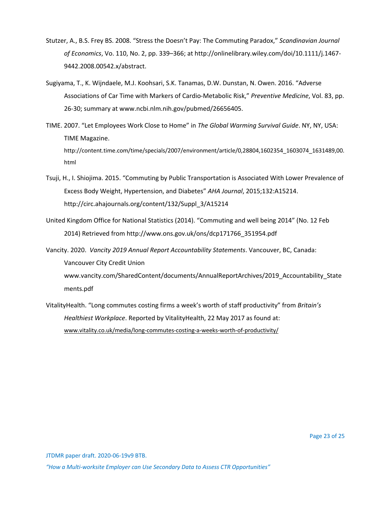- Stutzer, A., B.S. Frey BS. 2008. "Stress the Doesn't Pay: The Commuting Paradox," *Scandinavian Journal of Economics*, Vo. 110, No. 2, pp. 339–366; at http://onlinelibrary.wiley.com/doi/10.1111/j.1467- 9442.2008.00542.x/abstract.
- Sugiyama, T., K. Wijndaele, M.J. Koohsari, S.K. Tanamas, D.W. Dunstan, N. Owen. 2016. "Adverse Associations of Car Time with Markers of Cardio-Metabolic Risk," *Preventive Medicine*, Vol. 83, pp. 26-30; summary at www.ncbi.nlm.nih.gov/pubmed/26656405.
- TIME. 2007. "Let Employees Work Close to Home" in *The Global Warming Survival Guide*. NY, NY, USA: TIME Magazine. http://content.time.com/time/specials/2007/environment/article/0,28804,1602354\_1603074\_1631489,00. html
- Tsuji, H., I. Shiojima. 2015. "Commuting by Public Transportation is Associated With Lower Prevalence of Excess Body Weight, Hypertension, and Diabetes" *AHA Journal*, 2015;132:A15214. http://circ.ahajournals.org/content/132/Suppl\_3/A15214
- United Kingdom Office for National Statistics (2014). "Commuting and well being 2014" (No. 12 Feb 2014) Retrieved from http://www.ons.gov.uk/ons/dcp171766\_351954.pdf

Vancity. 2020. *Vancity 2019 Annual Report Accountability Statements*. Vancouver, BC, Canada: Vancouver City Credit Union www.vancity.com/SharedContent/documents/AnnualReportArchives/2019\_Accountability\_State ments.pdf

VitalityHealth. "Long commutes costing firms a week's worth of staff productivity" from *Britain's Healthiest Workplace*. Reported by VitalityHealth, 22 May 2017 as found at: www.vitality.co.uk/media/long-commutes-costing-a-weeks-worth-of-productivity/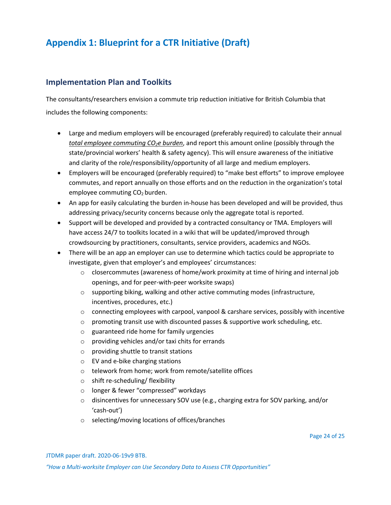# **Appendix 1: Blueprint for a CTR Initiative (Draft)**

#### **Implementation Plan and Toolkits**

The consultants/researchers envision a commute trip reduction initiative for British Columbia that includes the following components:

- Large and medium employers will be encouraged (preferably required) to calculate their annual *total employee commuting CO2e burden*, and report this amount online (possibly through the state/provincial workers' health & safety agency). This will ensure awareness of the initiative and clarity of the role/responsibility/opportunity of all large and medium employers.
- Employers will be encouraged (preferably required) to "make best efforts" to improve employee commutes, and report annually on those efforts and on the reduction in the organization's total employee commuting CO<sub>2</sub> burden.
- An app for easily calculating the burden in-house has been developed and will be provided, thus addressing privacy/security concerns because only the aggregate total is reported.
- Support will be developed and provided by a contracted consultancy or TMA. Employers will have access 24/7 to toolkits located in a wiki that will be updated/improved through crowdsourcing by practitioners, consultants, service providers, academics and NGOs.
- There will be an app an employer can use to determine which tactics could be appropriate to investigate, given that employer's and employees' circumstances:
	- $\circ$  closercommutes (awareness of home/work proximity at time of hiring and internal job openings, and for peer-with-peer worksite swaps)
	- $\circ$  supporting biking, walking and other active commuting modes (infrastructure, incentives, procedures, etc.)
	- o connecting employees with carpool, vanpool & carshare services, possibly with incentive
	- $\circ$  promoting transit use with discounted passes & supportive work scheduling, etc.
	- o guaranteed ride home for family urgencies
	- o providing vehicles and/or taxi chits for errands
	- o providing shuttle to transit stations
	- o EV and e-bike charging stations
	- o telework from home; work from remote/satellite offices
	- o shift re-scheduling/ flexibility
	- o longer & fewer "compressed" workdays
	- $\circ$  disincentives for unnecessary SOV use (e.g., charging extra for SOV parking, and/or 'cash-out')
	- o selecting/moving locations of offices/branches

Page 24 of 25

JTDMR paper draft. 2020-06-19v9 BTB.